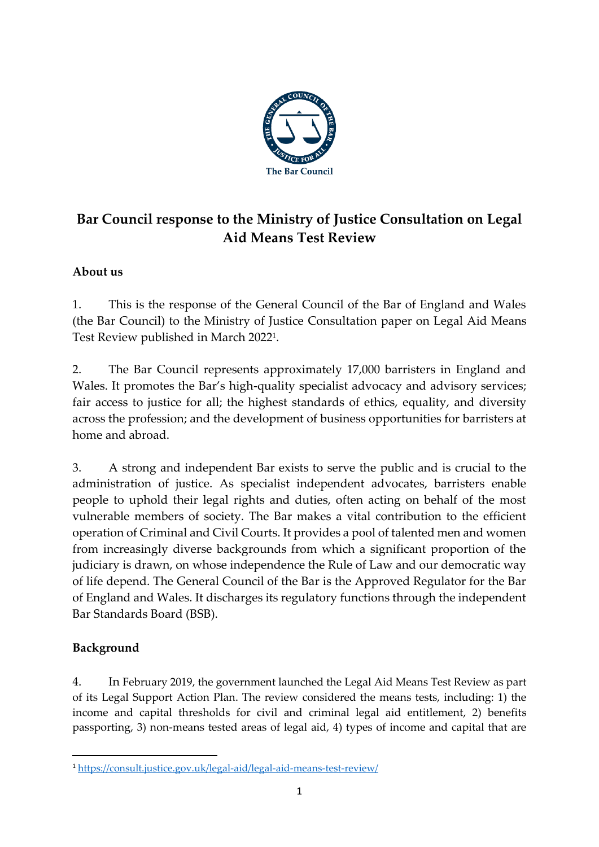

# **Bar Council response to the Ministry of Justice Consultation on Legal Aid Means Test Review**

# **About us**

1. This is the response of the General Council of the Bar of England and Wales (the Bar Council) to the Ministry of Justice Consultation paper on Legal Aid Means Test Review published in March 2022<sup>1</sup> .

2. The Bar Council represents approximately 17,000 barristers in England and Wales. It promotes the Bar's high-quality specialist advocacy and advisory services; fair access to justice for all; the highest standards of ethics, equality, and diversity across the profession; and the development of business opportunities for barristers at home and abroad.

3. A strong and independent Bar exists to serve the public and is crucial to the administration of justice. As specialist independent advocates, barristers enable people to uphold their legal rights and duties, often acting on behalf of the most vulnerable members of society. The Bar makes a vital contribution to the efficient operation of Criminal and Civil Courts. It provides a pool of talented men and women from increasingly diverse backgrounds from which a significant proportion of the judiciary is drawn, on whose independence the Rule of Law and our democratic way of life depend. The General Council of the Bar is the Approved Regulator for the Bar of England and Wales. It discharges its regulatory functions through the independent Bar Standards Board (BSB).

# **Background**

4. In February 2019, the government launched the Legal Aid Means Test Review as part of its Legal Support Action Plan. The review considered the means tests, including: 1) the income and capital thresholds for civil and criminal legal aid entitlement, 2) benefits passporting, 3) non-means tested areas of legal aid, 4) types of income and capital that are

<sup>1</sup> <https://consult.justice.gov.uk/legal-aid/legal-aid-means-test-review/>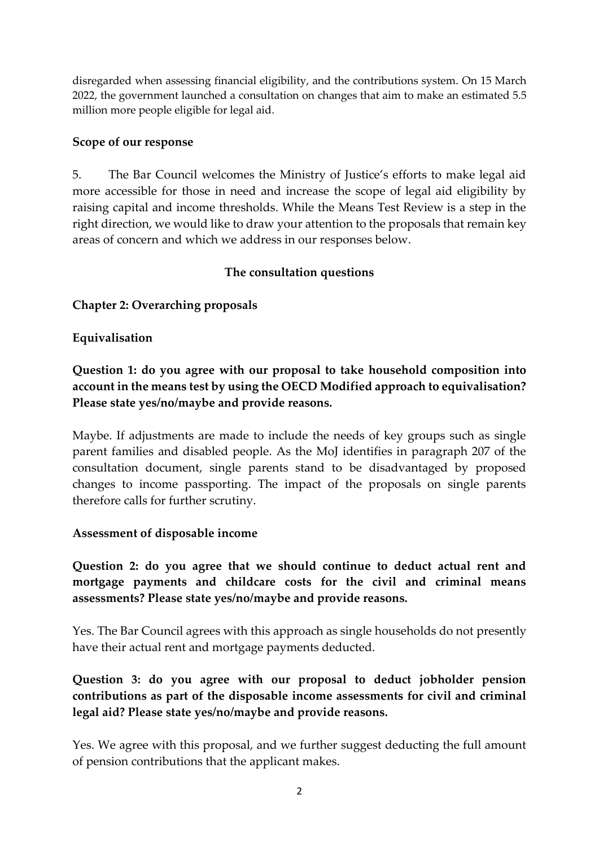disregarded when assessing financial eligibility, and the contributions system. On 15 March 2022, the government launched a consultation on changes that aim to make an estimated 5.5 million more people eligible for legal aid.

#### **Scope of our response**

5. The Bar Council welcomes the Ministry of Justice's efforts to make legal aid more accessible for those in need and increase the scope of legal aid eligibility by raising capital and income thresholds. While the Means Test Review is a step in the right direction, we would like to draw your attention to the proposals that remain key areas of concern and which we address in our responses below.

### **The consultation questions**

#### **Chapter 2: Overarching proposals**

#### **Equivalisation**

**Question 1: do you agree with our proposal to take household composition into account in the means test by using the OECD Modified approach to equivalisation? Please state yes/no/maybe and provide reasons.**

Maybe. If adjustments are made to include the needs of key groups such as single parent families and disabled people. As the MoJ identifies in paragraph 207 of the consultation document, single parents stand to be disadvantaged by proposed changes to income passporting. The impact of the proposals on single parents therefore calls for further scrutiny.

#### **Assessment of disposable income**

**Question 2: do you agree that we should continue to deduct actual rent and mortgage payments and childcare costs for the civil and criminal means assessments? Please state yes/no/maybe and provide reasons.**

Yes. The Bar Council agrees with this approach as single households do not presently have their actual rent and mortgage payments deducted.

**Question 3: do you agree with our proposal to deduct jobholder pension contributions as part of the disposable income assessments for civil and criminal legal aid? Please state yes/no/maybe and provide reasons.** 

Yes. We agree with this proposal, and we further suggest deducting the full amount of pension contributions that the applicant makes.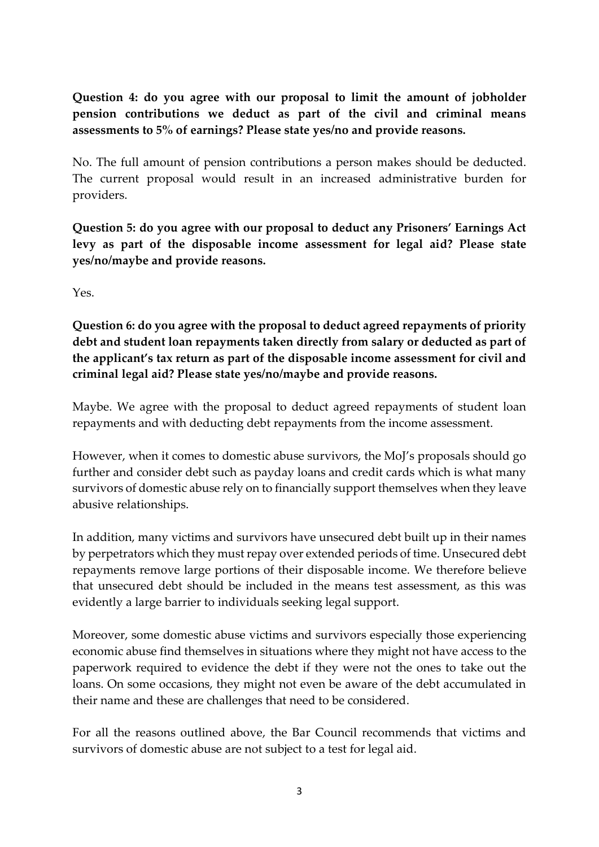**Question 4: do you agree with our proposal to limit the amount of jobholder pension contributions we deduct as part of the civil and criminal means assessments to 5% of earnings? Please state yes/no and provide reasons.**

No. The full amount of pension contributions a person makes should be deducted. The current proposal would result in an increased administrative burden for providers.

**Question 5: do you agree with our proposal to deduct any Prisoners' Earnings Act levy as part of the disposable income assessment for legal aid? Please state yes/no/maybe and provide reasons.**

Yes.

**Question 6: do you agree with the proposal to deduct agreed repayments of priority debt and student loan repayments taken directly from salary or deducted as part of the applicant's tax return as part of the disposable income assessment for civil and criminal legal aid? Please state yes/no/maybe and provide reasons.**

Maybe. We agree with the proposal to deduct agreed repayments of student loan repayments and with deducting debt repayments from the income assessment.

However, when it comes to domestic abuse survivors, the MoJ's proposals should go further and consider debt such as payday loans and credit cards which is what many survivors of domestic abuse rely on to financially support themselves when they leave abusive relationships.

In addition, many victims and survivors have unsecured debt built up in their names by perpetrators which they must repay over extended periods of time. Unsecured debt repayments remove large portions of their disposable income. We therefore believe that unsecured debt should be included in the means test assessment, as this was evidently a large barrier to individuals seeking legal support.

Moreover, some domestic abuse victims and survivors especially those experiencing economic abuse find themselves in situations where they might not have access to the paperwork required to evidence the debt if they were not the ones to take out the loans. On some occasions, they might not even be aware of the debt accumulated in their name and these are challenges that need to be considered.

For all the reasons outlined above, the Bar Council recommends that victims and survivors of domestic abuse are not subject to a test for legal aid.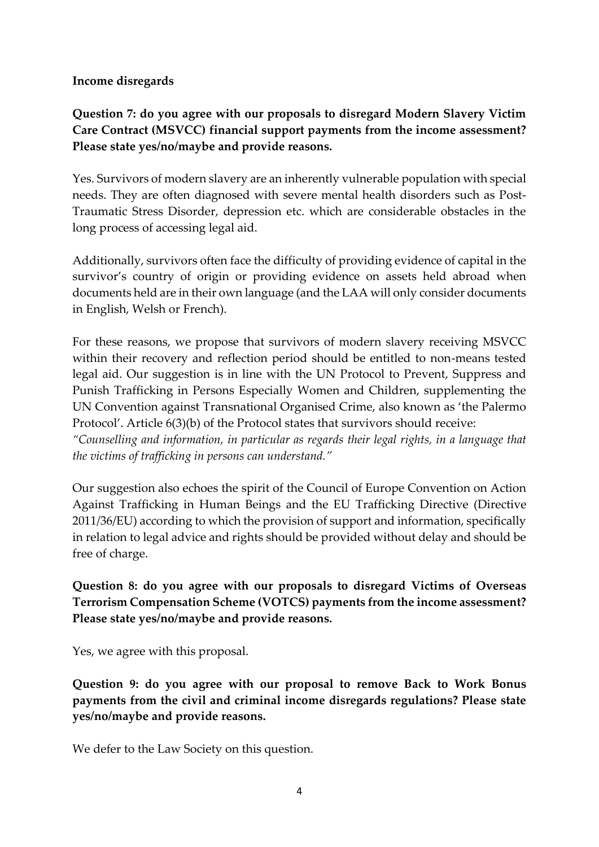#### **Income disregards**

# **Question 7: do you agree with our proposals to disregard Modern Slavery Victim Care Contract (MSVCC) financial support payments from the income assessment? Please state yes/no/maybe and provide reasons.**

Yes. Survivors of modern slavery are an inherently vulnerable population with special needs. They are often diagnosed with severe mental health disorders such as Post-Traumatic Stress Disorder, depression etc. which are considerable obstacles in the long process of accessing legal aid.

Additionally, survivors often face the difficulty of providing evidence of capital in the survivor's country of origin or providing evidence on assets held abroad when documents held are in their own language (and the LAA will only consider documents in English, Welsh or French).

For these reasons, we propose that survivors of modern slavery receiving MSVCC within their recovery and reflection period should be entitled to non-means tested legal aid. Our suggestion is in line with the UN Protocol to Prevent, Suppress and Punish Trafficking in Persons Especially Women and Children, supplementing the UN Convention against Transnational Organised Crime, also known as 'the Palermo Protocol'. Article 6(3)(b) of the Protocol states that survivors should receive:

*"Counselling and information, in particular as regards their legal rights, in a language that the victims of trafficking in persons can understand."*

Our suggestion also echoes the spirit of the Council of Europe Convention on Action Against Trafficking in Human Beings and the EU Trafficking Directive (Directive 2011/36/EU) according to which the provision of support and information, specifically in relation to legal advice and rights should be provided without delay and should be free of charge.

**Question 8: do you agree with our proposals to disregard Victims of Overseas Terrorism Compensation Scheme (VOTCS) payments from the income assessment? Please state yes/no/maybe and provide reasons.**

Yes, we agree with this proposal.

**Question 9: do you agree with our proposal to remove Back to Work Bonus payments from the civil and criminal income disregards regulations? Please state yes/no/maybe and provide reasons.**

We defer to the Law Society on this question.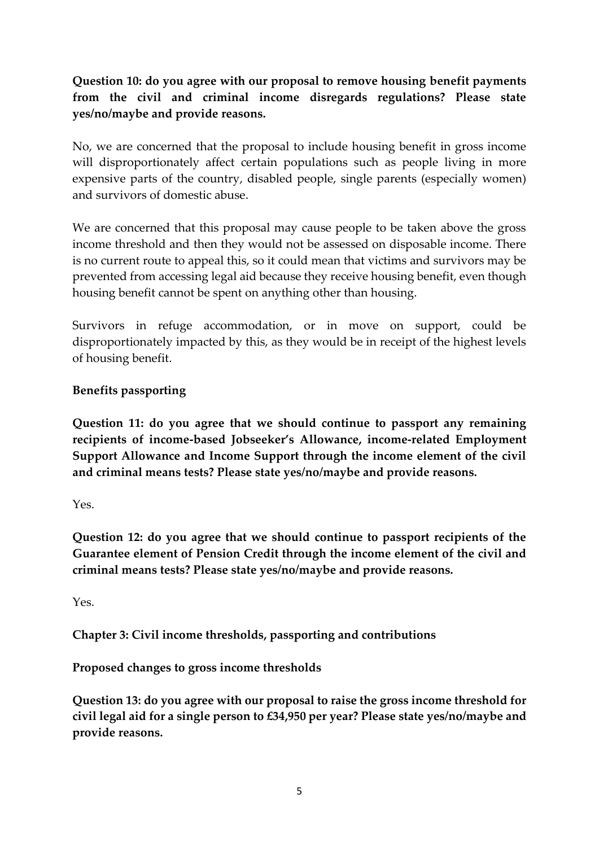# **Question 10: do you agree with our proposal to remove housing benefit payments from the civil and criminal income disregards regulations? Please state yes/no/maybe and provide reasons.**

No, we are concerned that the proposal to include housing benefit in gross income will disproportionately affect certain populations such as people living in more expensive parts of the country, disabled people, single parents (especially women) and survivors of domestic abuse.

We are concerned that this proposal may cause people to be taken above the gross income threshold and then they would not be assessed on disposable income. There is no current route to appeal this, so it could mean that victims and survivors may be prevented from accessing legal aid because they receive housing benefit, even though housing benefit cannot be spent on anything other than housing.

Survivors in refuge accommodation, or in move on support, could be disproportionately impacted by this, as they would be in receipt of the highest levels of housing benefit.

### **Benefits passporting**

**Question 11: do you agree that we should continue to passport any remaining recipients of income-based Jobseeker's Allowance, income-related Employment Support Allowance and Income Support through the income element of the civil and criminal means tests? Please state yes/no/maybe and provide reasons.**

Yes.

**Question 12: do you agree that we should continue to passport recipients of the Guarantee element of Pension Credit through the income element of the civil and criminal means tests? Please state yes/no/maybe and provide reasons.**

Yes.

**Chapter 3: Civil income thresholds, passporting and contributions**

**Proposed changes to gross income thresholds**

**Question 13: do you agree with our proposal to raise the gross income threshold for civil legal aid for a single person to £34,950 per year? Please state yes/no/maybe and provide reasons.**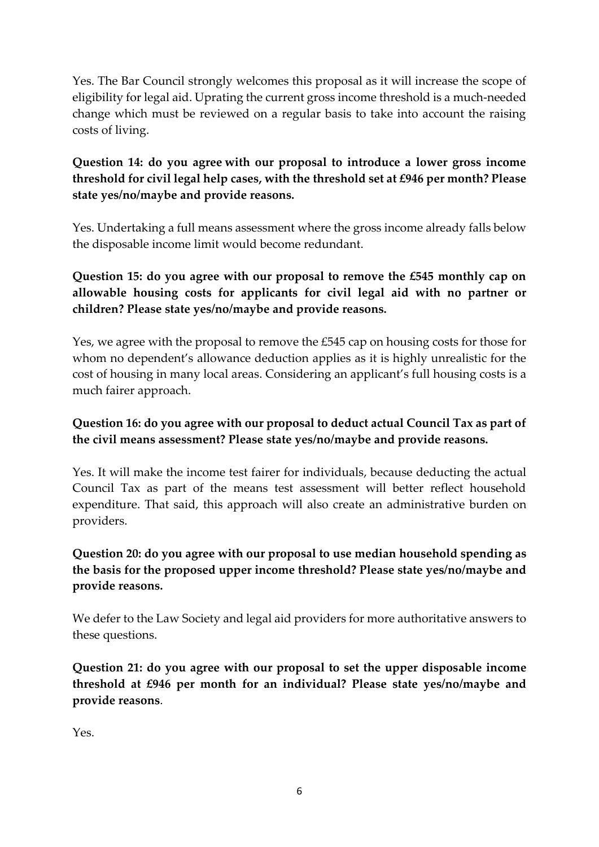Yes. The Bar Council strongly welcomes this proposal as it will increase the scope of eligibility for legal aid. Uprating the current gross income threshold is a much-needed change which must be reviewed on a regular basis to take into account the raising costs of living.

# **Question 14: do you agree with our proposal to introduce a lower gross income threshold for civil legal help cases, with the threshold set at £946 per month? Please state yes/no/maybe and provide reasons.**

Yes. Undertaking a full means assessment where the gross income already falls below the disposable income limit would become redundant.

**Question 15: do you agree with our proposal to remove the £545 monthly cap on allowable housing costs for applicants for civil legal aid with no partner or children? Please state yes/no/maybe and provide reasons.** 

Yes, we agree with the proposal to remove the £545 cap on housing costs for those for whom no dependent's allowance deduction applies as it is highly unrealistic for the cost of housing in many local areas. Considering an applicant's full housing costs is a much fairer approach.

## **Question 16: do you agree with our proposal to deduct actual Council Tax as part of the civil means assessment? Please state yes/no/maybe and provide reasons.**

Yes. It will make the income test fairer for individuals, because deducting the actual Council Tax as part of the means test assessment will better reflect household expenditure. That said, this approach will also create an administrative burden on providers.

# **Question 20: do you agree with our proposal to use median household spending as the basis for the proposed upper income threshold? Please state yes/no/maybe and provide reasons.**

We defer to the Law Society and legal aid providers for more authoritative answers to these questions.

**Question 21: do you agree with our proposal to set the upper disposable income threshold at £946 per month for an individual? Please state yes/no/maybe and provide reasons**.

Yes.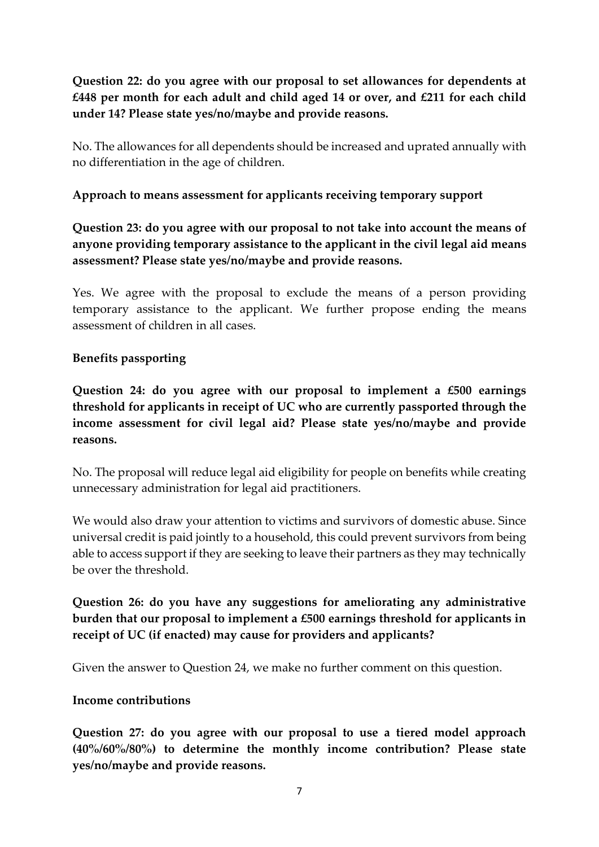**Question 22: do you agree with our proposal to set allowances for dependents at £448 per month for each adult and child aged 14 or over, and £211 for each child under 14? Please state yes/no/maybe and provide reasons.**

No. The allowances for all dependents should be increased and uprated annually with no differentiation in the age of children.

### **Approach to means assessment for applicants receiving temporary support**

## **Question 23: do you agree with our proposal to not take into account the means of anyone providing temporary assistance to the applicant in the civil legal aid means assessment? Please state yes/no/maybe and provide reasons.**

Yes. We agree with the proposal to exclude the means of a person providing temporary assistance to the applicant. We further propose ending the means assessment of children in all cases.

#### **Benefits passporting**

**Question 24: do you agree with our proposal to implement a £500 earnings threshold for applicants in receipt of UC who are currently passported through the income assessment for civil legal aid? Please state yes/no/maybe and provide reasons.** 

No. The proposal will reduce legal aid eligibility for people on benefits while creating unnecessary administration for legal aid practitioners.

We would also draw your attention to victims and survivors of domestic abuse. Since universal credit is paid jointly to a household, this could prevent survivors from being able to access support if they are seeking to leave their partners as they may technically be over the threshold.

**Question 26: do you have any suggestions for ameliorating any administrative burden that our proposal to implement a £500 earnings threshold for applicants in receipt of UC (if enacted) may cause for providers and applicants?**

Given the answer to Question 24, we make no further comment on this question.

#### **Income contributions**

**Question 27: do you agree with our proposal to use a tiered model approach (40%/60%/80%) to determine the monthly income contribution? Please state yes/no/maybe and provide reasons.**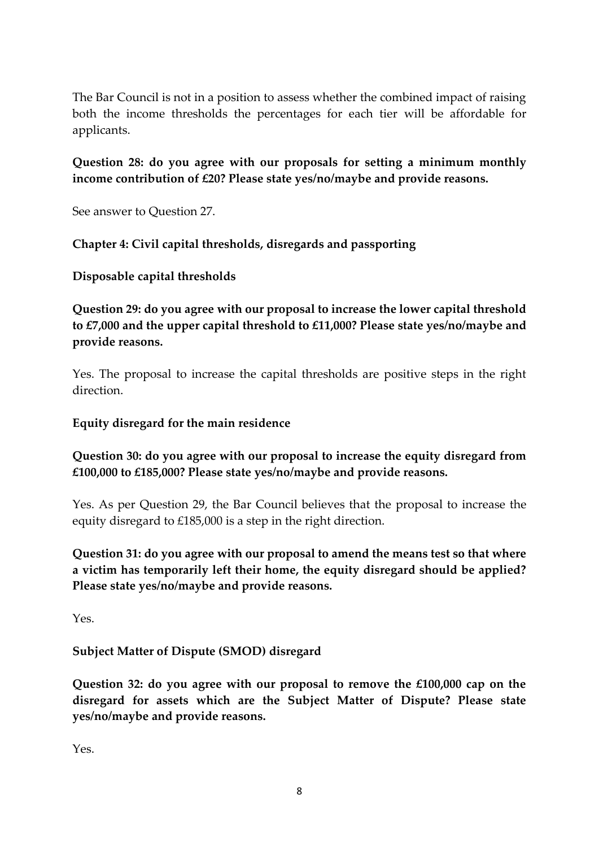The Bar Council is not in a position to assess whether the combined impact of raising both the income thresholds the percentages for each tier will be affordable for applicants.

### **Question 28: do you agree with our proposals for setting a minimum monthly income contribution of £20? Please state yes/no/maybe and provide reasons.**

See answer to Question 27.

#### **Chapter 4: Civil capital thresholds, disregards and passporting**

**Disposable capital thresholds**

**Question 29: do you agree with our proposal to increase the lower capital threshold to £7,000 and the upper capital threshold to £11,000? Please state yes/no/maybe and provide reasons.**

Yes. The proposal to increase the capital thresholds are positive steps in the right direction.

#### **Equity disregard for the main residence**

### **Question 30: do you agree with our proposal to increase the equity disregard from £100,000 to £185,000? Please state yes/no/maybe and provide reasons.**

Yes. As per Question 29, the Bar Council believes that the proposal to increase the equity disregard to £185,000 is a step in the right direction.

**Question 31: do you agree with our proposal to amend the means test so that where a victim has temporarily left their home, the equity disregard should be applied? Please state yes/no/maybe and provide reasons.**

Yes.

#### **Subject Matter of Dispute (SMOD) disregard**

**Question 32: do you agree with our proposal to remove the £100,000 cap on the disregard for assets which are the Subject Matter of Dispute? Please state yes/no/maybe and provide reasons.**

Yes.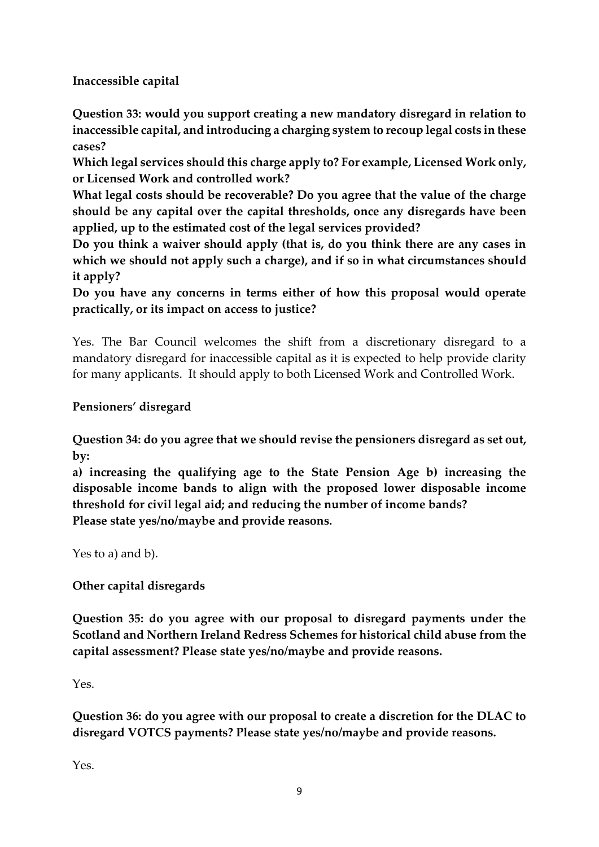**Inaccessible capital**

**Question 33: would you support creating a new mandatory disregard in relation to inaccessible capital, and introducing a charging system to recoup legal costs in these cases?**

**Which legal services should this charge apply to? For example, Licensed Work only, or Licensed Work and controlled work?** 

**What legal costs should be recoverable? Do you agree that the value of the charge should be any capital over the capital thresholds, once any disregards have been applied, up to the estimated cost of the legal services provided?** 

**Do you think a waiver should apply (that is, do you think there are any cases in which we should not apply such a charge), and if so in what circumstances should it apply?** 

**Do you have any concerns in terms either of how this proposal would operate practically, or its impact on access to justice?**

Yes. The Bar Council welcomes the shift from a discretionary disregard to a mandatory disregard for inaccessible capital as it is expected to help provide clarity for many applicants. It should apply to both Licensed Work and Controlled Work.

## **Pensioners' disregard**

**Question 34: do you agree that we should revise the pensioners disregard as set out, by:** 

**a) increasing the qualifying age to the State Pension Age b) increasing the disposable income bands to align with the proposed lower disposable income threshold for civil legal aid; and reducing the number of income bands? Please state yes/no/maybe and provide reasons.**

Yes to a) and b).

#### **Other capital disregards**

**Question 35: do you agree with our proposal to disregard payments under the Scotland and Northern Ireland Redress Schemes for historical child abuse from the capital assessment? Please state yes/no/maybe and provide reasons.**

Yes.

**Question 36: do you agree with our proposal to create a discretion for the DLAC to disregard VOTCS payments? Please state yes/no/maybe and provide reasons.**

Yes.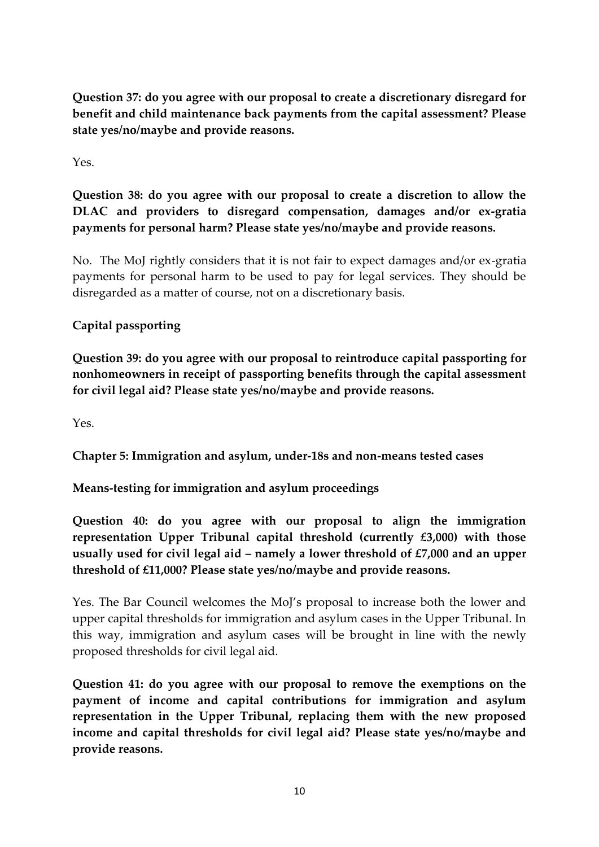**Question 37: do you agree with our proposal to create a discretionary disregard for benefit and child maintenance back payments from the capital assessment? Please state yes/no/maybe and provide reasons.**

Yes.

**Question 38: do you agree with our proposal to create a discretion to allow the DLAC and providers to disregard compensation, damages and/or ex-gratia payments for personal harm? Please state yes/no/maybe and provide reasons.**

No. The MoJ rightly considers that it is not fair to expect damages and/or ex-gratia payments for personal harm to be used to pay for legal services. They should be disregarded as a matter of course, not on a discretionary basis.

# **Capital passporting**

**Question 39: do you agree with our proposal to reintroduce capital passporting for nonhomeowners in receipt of passporting benefits through the capital assessment for civil legal aid? Please state yes/no/maybe and provide reasons.**

Yes.

**Chapter 5: Immigration and asylum, under-18s and non-means tested cases**

**Means-testing for immigration and asylum proceedings**

**Question 40: do you agree with our proposal to align the immigration representation Upper Tribunal capital threshold (currently £3,000) with those usually used for civil legal aid – namely a lower threshold of £7,000 and an upper threshold of £11,000? Please state yes/no/maybe and provide reasons.**

Yes. The Bar Council welcomes the MoJ's proposal to increase both the lower and upper capital thresholds for immigration and asylum cases in the Upper Tribunal. In this way, immigration and asylum cases will be brought in line with the newly proposed thresholds for civil legal aid.

**Question 41: do you agree with our proposal to remove the exemptions on the payment of income and capital contributions for immigration and asylum representation in the Upper Tribunal, replacing them with the new proposed income and capital thresholds for civil legal aid? Please state yes/no/maybe and provide reasons.**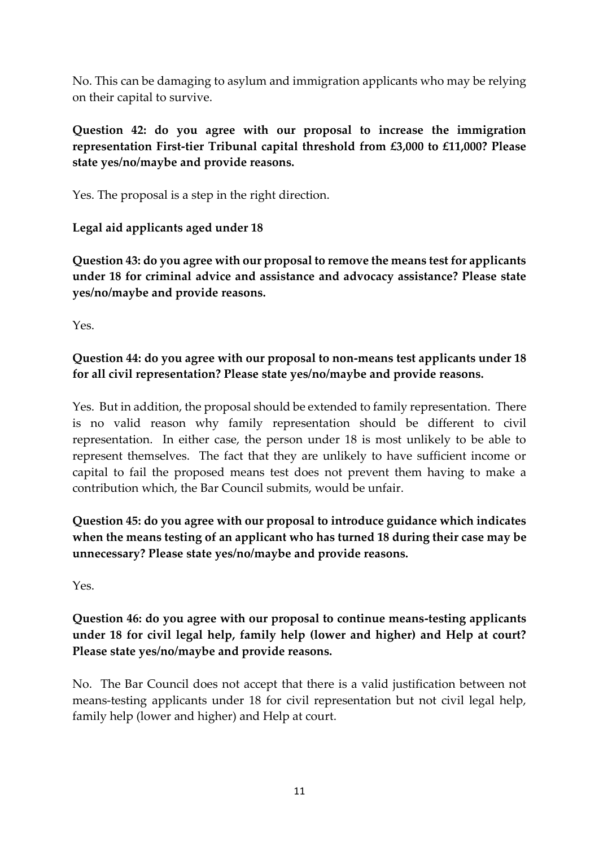No. This can be damaging to asylum and immigration applicants who may be relying on their capital to survive.

### **Question 42: do you agree with our proposal to increase the immigration representation First-tier Tribunal capital threshold from £3,000 to £11,000? Please state yes/no/maybe and provide reasons.**

Yes. The proposal is a step in the right direction.

## **Legal aid applicants aged under 18**

**Question 43: do you agree with our proposal to remove the means test for applicants under 18 for criminal advice and assistance and advocacy assistance? Please state yes/no/maybe and provide reasons.**

Yes.

# **Question 44: do you agree with our proposal to non-means test applicants under 18 for all civil representation? Please state yes/no/maybe and provide reasons.**

Yes. But in addition, the proposal should be extended to family representation. There is no valid reason why family representation should be different to civil representation. In either case, the person under 18 is most unlikely to be able to represent themselves. The fact that they are unlikely to have sufficient income or capital to fail the proposed means test does not prevent them having to make a contribution which, the Bar Council submits, would be unfair.

**Question 45: do you agree with our proposal to introduce guidance which indicates when the means testing of an applicant who has turned 18 during their case may be unnecessary? Please state yes/no/maybe and provide reasons.**

Yes.

## **Question 46: do you agree with our proposal to continue means-testing applicants under 18 for civil legal help, family help (lower and higher) and Help at court? Please state yes/no/maybe and provide reasons.**

No. The Bar Council does not accept that there is a valid justification between not means-testing applicants under 18 for civil representation but not civil legal help, family help (lower and higher) and Help at court.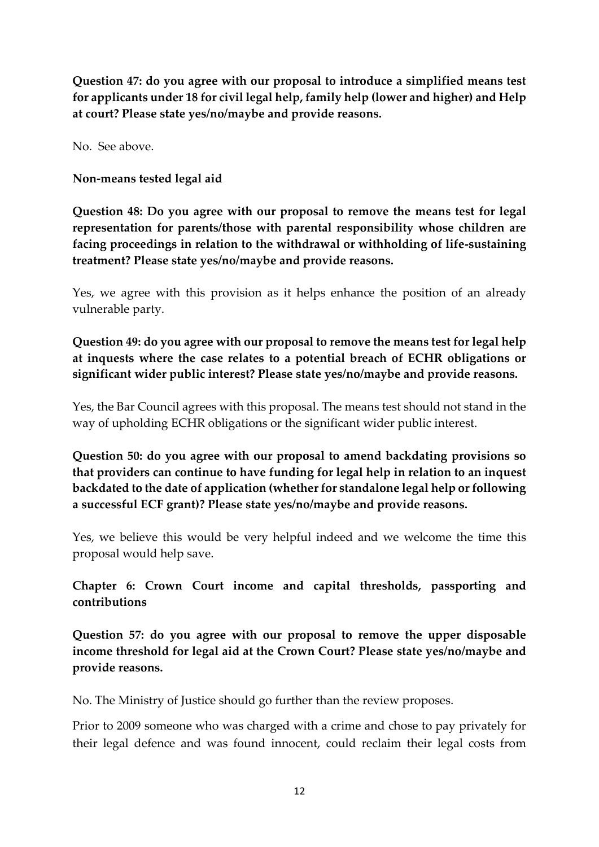**Question 47: do you agree with our proposal to introduce a simplified means test for applicants under 18 for civil legal help, family help (lower and higher) and Help at court? Please state yes/no/maybe and provide reasons.**

No. See above.

**Non-means tested legal aid**

**Question 48: Do you agree with our proposal to remove the means test for legal representation for parents/those with parental responsibility whose children are facing proceedings in relation to the withdrawal or withholding of life-sustaining treatment? Please state yes/no/maybe and provide reasons.**

Yes, we agree with this provision as it helps enhance the position of an already vulnerable party.

**Question 49: do you agree with our proposal to remove the means test for legal help at inquests where the case relates to a potential breach of ECHR obligations or significant wider public interest? Please state yes/no/maybe and provide reasons.**

Yes, the Bar Council agrees with this proposal. The means test should not stand in the way of upholding ECHR obligations or the significant wider public interest.

**Question 50: do you agree with our proposal to amend backdating provisions so that providers can continue to have funding for legal help in relation to an inquest backdated to the date of application (whether for standalone legal help or following a successful ECF grant)? Please state yes/no/maybe and provide reasons.**

Yes, we believe this would be very helpful indeed and we welcome the time this proposal would help save.

**Chapter 6: Crown Court income and capital thresholds, passporting and contributions**

**Question 57: do you agree with our proposal to remove the upper disposable income threshold for legal aid at the Crown Court? Please state yes/no/maybe and provide reasons.**

No. The Ministry of Justice should go further than the review proposes.

Prior to 2009 someone who was charged with a crime and chose to pay privately for their legal defence and was found innocent, could reclaim their legal costs from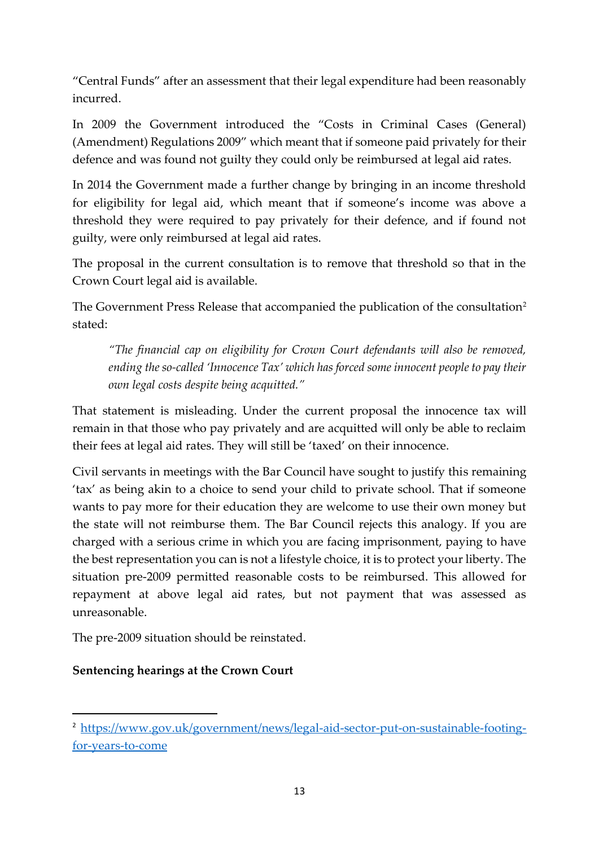"Central Funds" after an assessment that their legal expenditure had been reasonably incurred.

In 2009 the Government introduced the "Costs in Criminal Cases (General) (Amendment) Regulations 2009" which meant that if someone paid privately for their defence and was found not guilty they could only be reimbursed at legal aid rates.

In 2014 the Government made a further change by bringing in an income threshold for eligibility for legal aid, which meant that if someone's income was above a threshold they were required to pay privately for their defence, and if found not guilty, were only reimbursed at legal aid rates.

The proposal in the current consultation is to remove that threshold so that in the Crown Court legal aid is available.

The Government Press Release that accompanied the publication of the consultation<sup>2</sup> stated:

*"The financial cap on eligibility for Crown Court defendants will also be removed, ending the so-called 'Innocence Tax' which has forced some innocent people to pay their own legal costs despite being acquitted."*

That statement is misleading. Under the current proposal the innocence tax will remain in that those who pay privately and are acquitted will only be able to reclaim their fees at legal aid rates. They will still be 'taxed' on their innocence.

Civil servants in meetings with the Bar Council have sought to justify this remaining 'tax' as being akin to a choice to send your child to private school. That if someone wants to pay more for their education they are welcome to use their own money but the state will not reimburse them. The Bar Council rejects this analogy. If you are charged with a serious crime in which you are facing imprisonment, paying to have the best representation you can is not a lifestyle choice, it is to protect your liberty. The situation pre-2009 permitted reasonable costs to be reimbursed. This allowed for repayment at above legal aid rates, but not payment that was assessed as unreasonable.

The pre-2009 situation should be reinstated.

## **Sentencing hearings at the Crown Court**

<sup>&</sup>lt;sup>2</sup> [https://www.gov.uk/government/news/legal-aid-sector-put-on-sustainable-footing](https://www.gov.uk/government/news/legal-aid-sector-put-on-sustainable-footing-for-years-to-come)[for-years-to-come](https://www.gov.uk/government/news/legal-aid-sector-put-on-sustainable-footing-for-years-to-come)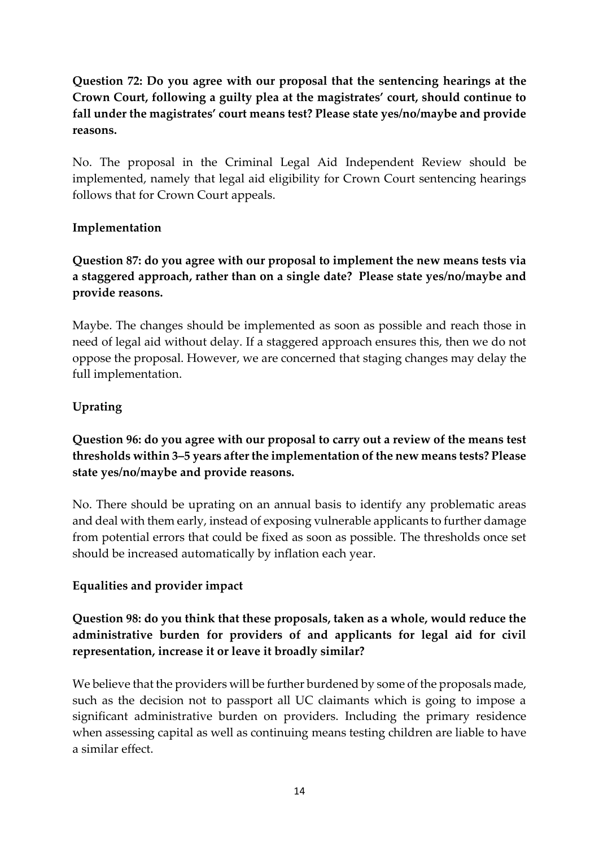# **Question 72: Do you agree with our proposal that the sentencing hearings at the Crown Court, following a guilty plea at the magistrates' court, should continue to fall under the magistrates' court means test? Please state yes/no/maybe and provide reasons.**

No. The proposal in the Criminal Legal Aid Independent Review should be implemented, namely that legal aid eligibility for Crown Court sentencing hearings follows that for Crown Court appeals.

### **Implementation**

**Question 87: do you agree with our proposal to implement the new means tests via a staggered approach, rather than on a single date? Please state yes/no/maybe and provide reasons.**

Maybe. The changes should be implemented as soon as possible and reach those in need of legal aid without delay. If a staggered approach ensures this, then we do not oppose the proposal. However, we are concerned that staging changes may delay the full implementation.

### **Uprating**

# **Question 96: do you agree with our proposal to carry out a review of the means test thresholds within 3–5 years after the implementation of the new means tests? Please state yes/no/maybe and provide reasons.**

No. There should be uprating on an annual basis to identify any problematic areas and deal with them early, instead of exposing vulnerable applicants to further damage from potential errors that could be fixed as soon as possible. The thresholds once set should be increased automatically by inflation each year.

## **Equalities and provider impact**

## **Question 98: do you think that these proposals, taken as a whole, would reduce the administrative burden for providers of and applicants for legal aid for civil representation, increase it or leave it broadly similar?**

We believe that the providers will be further burdened by some of the proposals made, such as the decision not to passport all UC claimants which is going to impose a significant administrative burden on providers. Including the primary residence when assessing capital as well as continuing means testing children are liable to have a similar effect.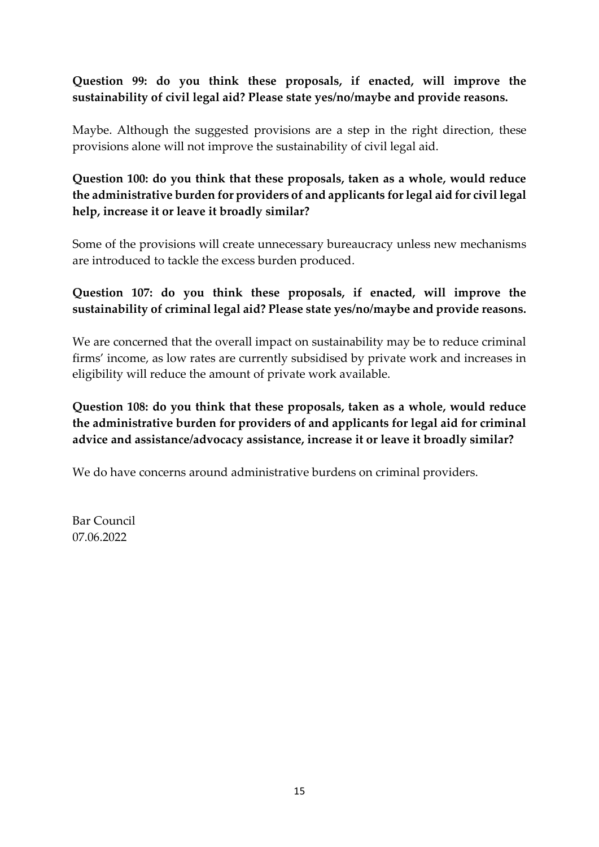## **Question 99: do you think these proposals, if enacted, will improve the sustainability of civil legal aid? Please state yes/no/maybe and provide reasons.**

Maybe. Although the suggested provisions are a step in the right direction, these provisions alone will not improve the sustainability of civil legal aid.

**Question 100: do you think that these proposals, taken as a whole, would reduce the administrative burden for providers of and applicants for legal aid for civil legal help, increase it or leave it broadly similar?** 

Some of the provisions will create unnecessary bureaucracy unless new mechanisms are introduced to tackle the excess burden produced.

### **Question 107: do you think these proposals, if enacted, will improve the sustainability of criminal legal aid? Please state yes/no/maybe and provide reasons.**

We are concerned that the overall impact on sustainability may be to reduce criminal firms' income, as low rates are currently subsidised by private work and increases in eligibility will reduce the amount of private work available.

**Question 108: do you think that these proposals, taken as a whole, would reduce the administrative burden for providers of and applicants for legal aid for criminal advice and assistance/advocacy assistance, increase it or leave it broadly similar?** 

We do have concerns around administrative burdens on criminal providers.

Bar Council 07.06.2022